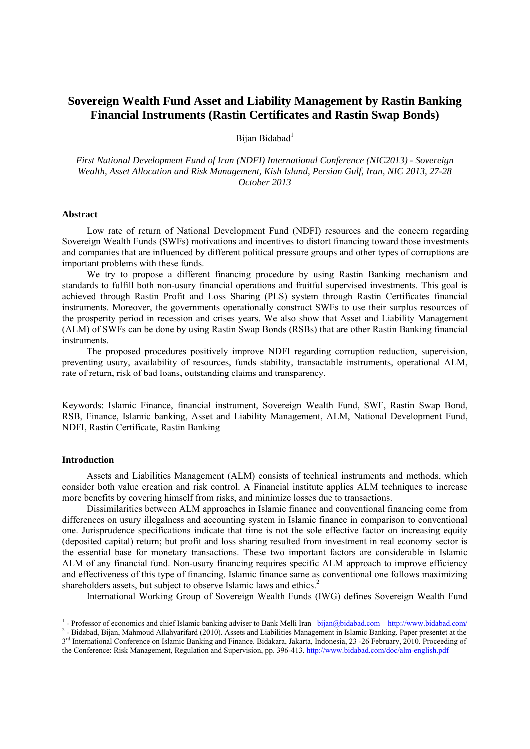# **Sovereign Wealth Fund Asset and Liability Management by Rastin Banking Financial Instruments (Rastin Certificates and Rastin Swap Bonds)**

Bijan Bidabad<sup>1</sup>

*First National Development Fund of Iran (NDFI) International Conference (NIC2013) - Sovereign Wealth, Asset Allocation and Risk Management, Kish Island, Persian Gulf, Iran, NIC 2013, 27-28 October 2013* 

#### **Abstract**

Low rate of return of National Development Fund (NDFI) resources and the concern regarding Sovereign Wealth Funds (SWFs) motivations and incentives to distort financing toward those investments and companies that are influenced by different political pressure groups and other types of corruptions are important problems with these funds.

We try to propose a different financing procedure by using Rastin Banking mechanism and standards to fulfill both non-usury financial operations and fruitful supervised investments. This goal is achieved through Rastin Profit and Loss Sharing (PLS) system through Rastin Certificates financial instruments. Moreover, the governments operationally construct SWFs to use their surplus resources of the prosperity period in recession and crises years. We also show that Asset and Liability Management (ALM) of SWFs can be done by using Rastin Swap Bonds (RSBs) that are other Rastin Banking financial instruments.

The proposed procedures positively improve NDFI regarding corruption reduction, supervision, preventing usury, availability of resources, funds stability, transactable instruments, operational ALM, rate of return, risk of bad loans, outstanding claims and transparency.

Keywords: Islamic Finance, financial instrument, Sovereign Wealth Fund, SWF, Rastin Swap Bond, RSB, Finance, Islamic banking, Asset and Liability Management, ALM, National Development Fund, NDFI, Rastin Certificate, Rastin Banking

## **Introduction**

-

Assets and Liabilities Management (ALM) consists of technical instruments and methods, which consider both value creation and risk control. A Financial institute applies ALM techniques to increase more benefits by covering himself from risks, and minimize losses due to transactions.

Dissimilarities between ALM approaches in Islamic finance and conventional financing come from differences on usury illegalness and accounting system in Islamic finance in comparison to conventional one. Jurisprudence specifications indicate that time is not the sole effective factor on increasing equity (deposited capital) return; but profit and loss sharing resulted from investment in real economy sector is the essential base for monetary transactions. These two important factors are considerable in Islamic ALM of any financial fund. Non-usury financing requires specific ALM approach to improve efficiency and effectiveness of this type of financing. Islamic finance same as conventional one follows maximizing shareholders assets, but subject to observe Islamic laws and ethics.<sup>2</sup>

International Working Group of Sovereign Wealth Funds (IWG) defines Sovereign Wealth Fund

<sup>&</sup>lt;sup>1</sup>- Professor of economics and chief Islamic banking adviser to Bank Melli Iran bijan@bidabad.com http://www.bidabad.com/ - Professor of economics and chief Islamic banking adviser to Bank Melli Iran bijan@bidabad.com http://www.bidabad.com/<br><sup>2</sup> - Bidabad, Bijan, Mahmoud Allahyarifard (2010). Assets and Liabilities Management in Islamic Banki

<sup>3&</sup>lt;sup>rd</sup> International Conference on Islamic Banking and Finance. Bidakara, Jakarta, Indonesia, 23 -26 February, 2010. Proceeding of the Conference: Risk Management, Regulation and Supervision, pp. 396-413. http://www.bidabad.com/doc/alm-english.pdf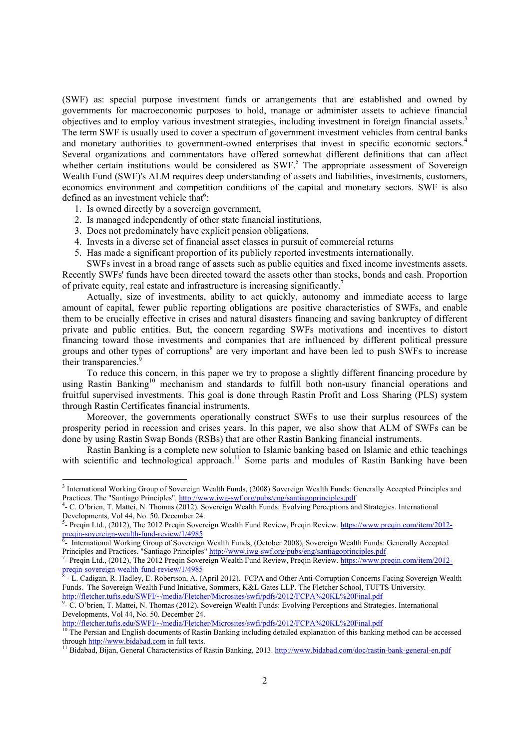(SWF) as: special purpose investment funds or arrangements that are established and owned by governments for macroeconomic purposes to hold, manage or administer assets to achieve financial objectives and to employ various investment strategies, including investment in foreign financial assets.3 The term SWF is usually used to cover a spectrum of government investment vehicles from central banks and monetary authorities to government-owned enterprises that invest in specific economic sectors.<sup>4</sup> Several organizations and commentators have offered somewhat different definitions that can affect whether certain institutions would be considered as  $SWF$ .<sup>5</sup> The appropriate assessment of Sovereign Wealth Fund (SWF)'s ALM requires deep understanding of assets and liabilities, investments, customers, economics environment and competition conditions of the capital and monetary sectors. SWF is also defined as an investment vehicle that<sup>6</sup>:

1. Is owned directly by a sovereign government,

 $\overline{a}$ 

- 2. Is managed independently of other state financial institutions,
- 3. Does not predominately have explicit pension obligations,
- 4. Invests in a diverse set of financial asset classes in pursuit of commercial returns
- 5. Has made a significant proportion of its publicly reported investments internationally.

SWFs invest in a broad range of assets such as public equities and fixed income investments assets. Recently SWFs' funds have been directed toward the assets other than stocks, bonds and cash. Proportion of private equity, real estate and infrastructure is increasing significantly.<sup>7</sup>

Actually, size of investments, ability to act quickly, autonomy and immediate access to large amount of capital, fewer public reporting obligations are positive characteristics of SWFs, and enable them to be crucially effective in crises and natural disasters financing and saving bankruptcy of different private and public entities. But, the concern regarding SWFs motivations and incentives to distort financing toward those investments and companies that are influenced by different political pressure groups and other types of corruptions<sup>8</sup> are very important and have been led to push SWFs to increase their transparencies.<sup>9</sup>

To reduce this concern, in this paper we try to propose a slightly different financing procedure by using Rastin Banking<sup>10</sup> mechanism and standards to fulfill both non-usury financial operations and fruitful supervised investments. This goal is done through Rastin Profit and Loss Sharing (PLS) system through Rastin Certificates financial instruments.

Moreover, the governments operationally construct SWFs to use their surplus resources of the prosperity period in recession and crises years. In this paper, we also show that ALM of SWFs can be done by using Rastin Swap Bonds (RSBs) that are other Rastin Banking financial instruments.

Rastin Banking is a complete new solution to Islamic banking based on Islamic and ethic teachings with scientific and technological approach.<sup>11</sup> Some parts and modules of Rastin Banking have been

<sup>&</sup>lt;sup>3</sup> International Working Group of Sovereign Wealth Funds, (2008) Sovereign Wealth Funds: Generally Accepted Principles and Practices. The "Santiago Principles". http://www.iwg-swf.org/pubs/eng/santiagoprinciples.pdf

<sup>-</sup> C. O'brien, T. Mattei, N. Thomas (2012). Sovereign Wealth Funds: Evolving Perceptions and Strategies. International Developments, Vol 44, No. 50. December 24.

<sup>&</sup>lt;sup>5</sup>- Preqin Ltd., (2012), The 2012 Preqin Sovereign Wealth Fund Review, Preqin Review. https://www.preqin.com/item/2012preqin-sovereign-wealth-fund-review/1/4985<br><sup>6</sup>- International Working Group of Sovereign Wealth Funds, (October 2008), Sovereign Wealth Funds: Generally Accepted

Principles and Practices. "Santiago Principles" http://www.iwg-swf.org/pubs/eng/santiagoprinciples.pdf 7

<sup>-</sup> Preqin Ltd., (2012), The 2012 Preqin Sovereign Wealth Fund Review, Preqin Review. https://www.preqin.com/item/2012 preqin-sovereign-wealth-fund-review/1/4985<br><sup>8</sup> - L. Cadigan, R. Hadley, E. Robertson, A. (April 2012). FCPA and Other Anti-Corruption Concerns Facing Sovereign Wealth

Funds. The Sovereign Wealth Fund Initiative, Sommers, K&L Gates LLP. The Fletcher School, TUFTS University. http://fletcher.tufts.edu/SWFI/~/media/Fletcher/Microsites/swfi/pdfs/2012/FCPA%20KL%20Final.pdf

<sup>&</sup>lt;sup>9</sup>- C. O'brien, T. Mattei, N. Thomas (2012). Sovereign Wealth Funds: Evolving Perceptions and Strategies. International Developments, Vol 44, No. 50. December 24.

http://fletcher.tufts.edu/SWFI/~/media/Fletcher/Microsites/swfi/pdfs/2012/FCPA%20KL%20Final.pdf<br><sup>10</sup> The Persian and English documents of Rastin Banking including detailed explanation of this banking method can be accessed through http://www.bidabad.com in full texts.<br><sup>11</sup> Bidabad, Bijan, General Characteristics of Rastin Banking, 2013. http://www.bidabad.com/doc/rastin-bank-general-en.pdf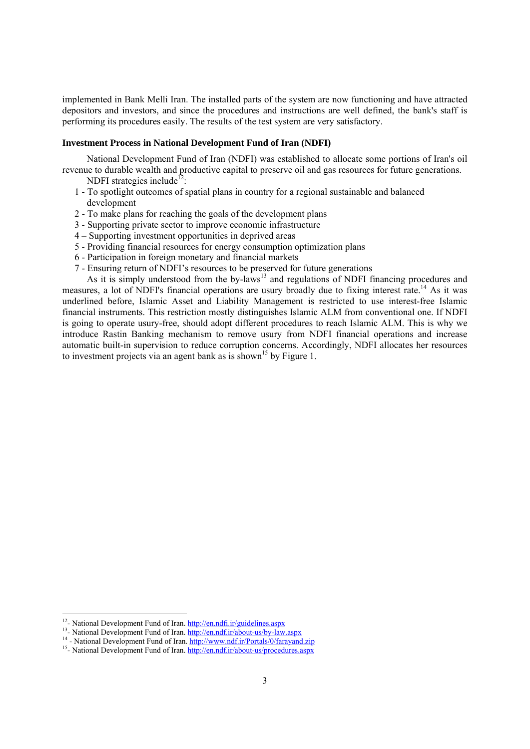implemented in Bank Melli Iran. The installed parts of the system are now functioning and have attracted depositors and investors, and since the procedures and instructions are well defined, the bank's staff is performing its procedures easily. The results of the test system are very satisfactory.

# **Investment Process in National Development Fund of Iran (NDFI)**

National Development Fund of Iran (NDFI) was established to allocate some portions of Iran's oil revenue to durable wealth and productive capital to preserve oil and gas resources for future generations.

- NDFI strategies include<sup>12</sup>:
- 1 To spotlight outcomes of spatial plans in country for a regional sustainable and balanced development
- 2 To make plans for reaching the goals of the development plans
- 3 Supporting private sector to improve economic infrastructure
- 4 Supporting investment opportunities in deprived areas
- 5 Providing financial resources for energy consumption optimization plans
- 6 Participation in foreign monetary and financial markets
- 7 Ensuring return of NDFI's resources to be preserved for future generations

As it is simply understood from the by-laws<sup>13</sup> and regulations of NDFI financing procedures and measures, a lot of NDFI's financial operations are usury broadly due to fixing interest rate.<sup>14</sup> As it was underlined before, Islamic Asset and Liability Management is restricted to use interest-free Islamic financial instruments. This restriction mostly distinguishes Islamic ALM from conventional one. If NDFI is going to operate usury-free, should adopt different procedures to reach Islamic ALM. This is why we introduce Rastin Banking mechanism to remove usury from NDFI financial operations and increase automatic built-in supervision to reduce corruption concerns. Accordingly, NDFI allocates her resources to investment projects via an agent bank as is shown<sup>15</sup> by Figure 1.

 $12$ - National Development Fund of Iran, http://en.ndfi.ir/guidelines.aspx

<sup>&</sup>lt;sup>13</sup>-National Development Fund of Iran. http://en.ndf.ir/about-us/by-law.aspx<br><sup>14</sup> - National Development Fund of Iran. http://www.ndf.ir/Portals/0/farayand.zip<br><sup>15</sup>-National Development Fund of Iran. http://en.ndf.ir/abou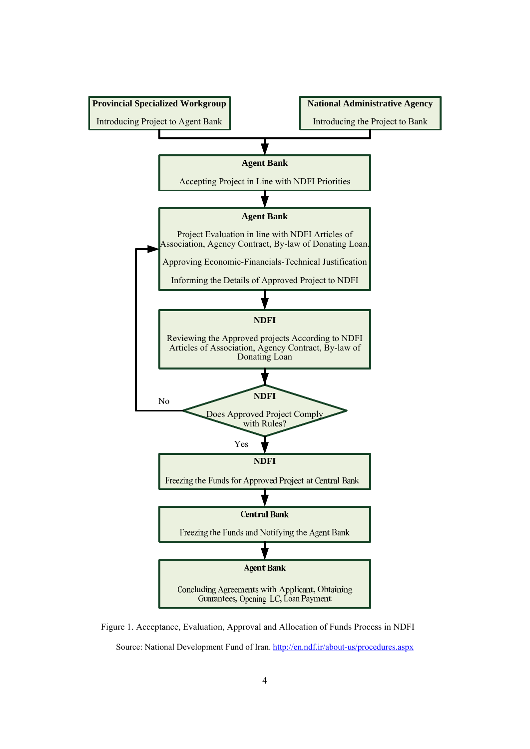

Figure 1. Acceptance, Evaluation, Approval and Allocation of Funds Process in NDFI Source: National Development Fund of Iran. http://en.ndf.ir/about-us/procedures.aspx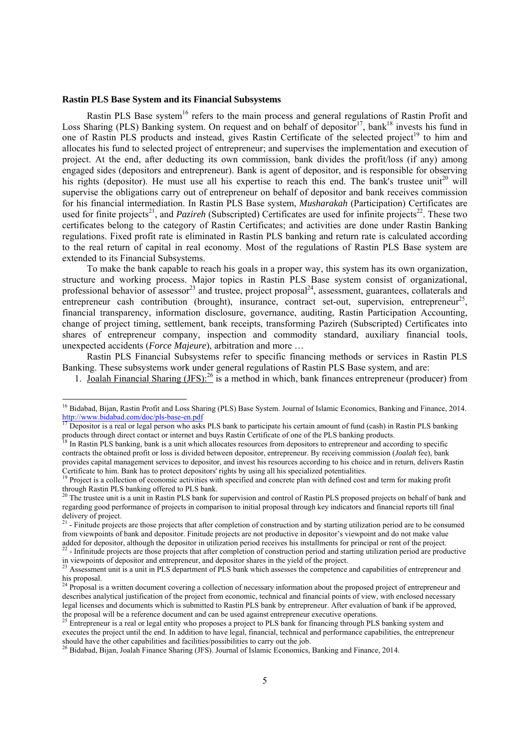#### **Rastin PLS Base System and its Financial Subsystems**

1

Rastin PLS Base system<sup>16</sup> refers to the main process and general regulations of Rastin Profit and Loss Sharing (PLS) Banking system. On request and on behalf of depositor<sup>17</sup>, bank<sup>18</sup> invests his fund in one of Rastin PLS products and instead, gives Rastin Certificate of the selected project<sup>19</sup> to him and allocates his fund to selected project of entrepreneur; and supervises the implementation and execution of project. At the end, after deducting its own commission, bank divides the profit/loss (if any) among engaged sides (depositors and entrepreneur). Bank is agent of depositor, and is responsible for observing his rights (depositor). He must use all his expertise to reach this end. The bank's trustee unit<sup>20</sup> will supervise the obligations carry out of entrepreneur on behalf of depositor and bank receives commission for his financial intermediation. In Rastin PLS Base system, *Musharakah* (Participation) Certificates are used for finite projects<sup>21</sup>, and *Pazireh* (Subscripted) Certificates are used for infinite projects<sup>22</sup>. These two certificates belong to the category of Rastin Certificates; and activities are done under Rastin Banking regulations. Fixed profit rate is eliminated in Rastin PLS banking and return rate is calculated according to the real return of capital in real economy. Most of the regulations of Rastin PLS Base system are extended to its Financial Subsystems.

To make the bank capable to reach his goals in a proper way, this system has its own organization, structure and working process. Major topics in Rastin PLS Base system consist of organizational, professional behavior of assessor<sup>23</sup> and trustee, project proposal<sup>24</sup>, assessment, guarantees, collaterals and entrepreneur cash contribution (brought), insurance, contract set-out, supervision, entrepreneur<sup>25</sup>, financial transparency, information disclosure, governance, auditing, Rastin Participation Accounting, change of project timing, settlement, bank receipts, transforming Pazireh (Subscripted) Certificates into shares of entrepreneur company, inspection and commodity standard, auxiliary financial tools, unexpected accidents (*Force Majeure*), arbitration and more …

Rastin PLS Financial Subsystems refer to specific financing methods or services in Rastin PLS Banking. These subsystems work under general regulations of Rastin PLS Base system, and are:

1. Joalah Financial Sharing (JFS):26 is a method in which, bank finances entrepreneur (producer) from

<sup>&</sup>lt;sup>16</sup> Bidabad, Bijan, Rastin Profit and Loss Sharing (PLS) Base System. Journal of Islamic Economics, Banking and Finance, 2014. http://www.bidabad.com/doc/pls-base-en.pdf<br><sup>17</sup> Depositor is a real or legal person who asks PLS bank to participate his certain amount of fund (cash) in Rastin PLS banking

products through direct contact or internet and buys Rastin Certificate of one of the PLS banking products.<br><sup>18</sup> In Rastin PLS banking, bank is a unit which allocates resources from depositors to entrepreneur and according

contracts the obtained profit or loss is divided between depositor, entrepreneur. By receiving commission (*Joalah* fee), bank provides capital management services to depositor, and invest his resources according to his choice and in return, delivers Rastin Certificate to him. Bank has to protect depositors' rights by using all his specialized potentialities.<br><sup>19</sup> Project is a collection of economic activities with specified and concrete plan with defined cost and term for ma

through Rastin PLS banking offered to PLS bank.

<sup>&</sup>lt;sup>20</sup> The trustee unit is a unit in Rastin PLS bank for supervision and control of Rastin PLS proposed projects on behalf of bank and regarding good performance of projects in comparison to initial proposal through key indicators and financial reports till final delivery of project.

 $2<sup>1</sup>$  - Finitude projects are those projects that after completion of construction and by starting utilization period are to be consumed from viewpoints of bank and depositor. Finitude projects are not productive in depositor's viewpoint and do not make value

added for depositor, although the depositor in utilization period receives his installments for principal or rent of the project.<br><sup>22</sup> - Infinitude projects are those projects that after completion of construction period a

<sup>&</sup>lt;sup>23</sup> Assessment unit is a unit in PLS department of PLS bank which assesses the competence and capabilities of entrepreneur and his proposal.

<sup>&</sup>lt;sup>24</sup> Proposal is a written document covering a collection of necessary information about the proposed project of entrepreneur and describes analytical justification of the project from economic, technical and financial points of view, with enclosed necessary legal licenses and documents which is submitted to Rastin PLS bank by entrepreneur. After evaluation of bank if be approved, the proposal will be a reference document and can be used against entrepreneur executive operations.

 $^{25}$  Entrepreneur is a real or legal entity who proposes a project to PLS bank for financing through PLS banking system and executes the project until the end. In addition to have legal, financial, technical and performance capabilities, the entrepreneur should have the other capabilities and facilities/possibilities to carry out the job.<br><sup>26</sup> Bidabad, Bijan, Joalah Finance Sharing (JFS). Journal of Islamic Economics, Banking and Finance, 2014.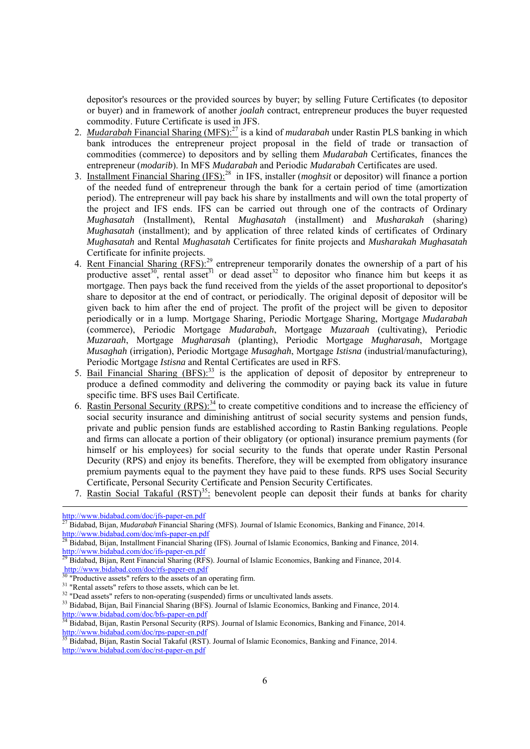depositor's resources or the provided sources by buyer; by selling Future Certificates (to depositor or buyer) and in framework of another *joalah* contract, entrepreneur produces the buyer requested commodity. Future Certificate is used in JFS.

- 2. *Mudarabah* Financial Sharing (MFS):<sup>27</sup> is a kind of *mudarabah* under Rastin PLS banking in which bank introduces the entrepreneur project proposal in the field of trade or transaction of commodities (commerce) to depositors and by selling them *Mudarabah* Certificates, finances the entrepreneur (*modarib*). In MFS *Mudarabah* and Periodic *Mudarabah* Certificates are used.
- 3. Installment Financial Sharing (IFS):28 in IFS, installer (*moghsit* or depositor) will finance a portion of the needed fund of entrepreneur through the bank for a certain period of time (amortization period). The entrepreneur will pay back his share by installments and will own the total property of the project and IFS ends. IFS can be carried out through one of the contracts of Ordinary *Mughasatah* (Installment), Rental *Mughasatah* (installment) and *Musharakah* (sharing) *Mughasatah* (installment); and by application of three related kinds of certificates of Ordinary *Mughasatah* and Rental *Mughasatah* Certificates for finite projects and *Musharakah Mughasatah* Certificate for infinite projects.
- 4. <u>Rent Financial Sharing (RFS):<sup>29</sup></u> entrepreneur temporarily donates the ownership of a part of his <u>Fort Financial Sharing (KFS).</u> entrepreneur temporally donates the ownership of a part of his productive asset<sup>30</sup>, rental asset<sup>31</sup> or dead asset<sup>32</sup> to depositor who finance him but keeps it as mortgage. Then pays back the fund received from the yields of the asset proportional to depositor's share to depositor at the end of contract, or periodically. The original deposit of depositor will be given back to him after the end of project. The profit of the project will be given to depositor periodically or in a lump. Mortgage Sharing, Periodic Mortgage Sharing, Mortgage *Mudarabah* (commerce), Periodic Mortgage *Mudarabah*, Mortgage *Muzaraah* (cultivating), Periodic *Muzaraah*, Mortgage *Mugharasah* (planting), Periodic Mortgage *Mugharasah*, Mortgage *Musaghah* (irrigation), Periodic Mortgage *Musaghah*, Mortgage *Istisna* (industrial/manufacturing), Periodic Mortgage *Istisna* and Rental Certificates are used in RFS.
- 5. Bail Financial Sharing (BFS):<sup>33</sup> is the application of deposit of depositor by entrepreneur to produce a defined commodity and delivering the commodity or paying back its value in future specific time. BFS uses Bail Certificate.
- 6. Rastin Personal Security (RPS):<sup>34</sup> to create competitive conditions and to increase the efficiency of social security insurance and diminishing antitrust of social security systems and pension funds, private and public pension funds are established according to Rastin Banking regulations. People and firms can allocate a portion of their obligatory (or optional) insurance premium payments (for himself or his employees) for social security to the funds that operate under Rastin Personal Decurity (RPS) and enjoy its benefits. Therefore, they will be exempted from obligatory insurance premium payments equal to the payment they have paid to these funds. RPS uses Social Security Certificate, Personal Security Certificate and Pension Security Certificates.
- 7. Rastin Social Takaful  $(RST)^{35}$ : benevolent people can deposit their funds at banks for charity

<sup>30</sup> "Productive assets" refers to the assets of an operating firm.

http://www.bidabad.com/doc/jfs-paper-en.pdf<br><sup>27</sup> Bidabad.pii.

<sup>27</sup> Bidabad, Bijan, *Mudarabah* Financial Sharing (MFS). Journal of Islamic Economics, Banking and Finance, 2014. http://www.bidabad.com/doc/mfs-paper-en.pdf<br>28 Did-k LDC

<sup>28</sup> Bidabad, Bijan, Installment Financial Sharing (IFS). Journal of Islamic Economics, Banking and Finance, 2014. http://www.bidabad.com/doc/ifs-paper-en.pdf

<sup>29</sup> Bidabad, Bijan, Rent Financial Sharing (RFS). Journal of Islamic Economics, Banking and Finance, 2014. http://www.bidabad.com/doc/rfs-paper-en.pdf

<sup>&</sup>lt;sup>31</sup> "Rental assets" refers to those assets, which can be let.

<sup>&</sup>lt;sup>32</sup> "Dead assets" refers to non-operating (suspended) firms or uncultivated lands assets.

<sup>&</sup>lt;sup>33</sup> Bidabad, Bijan, Bail Financial Sharing (BFS). Journal of Islamic Economics, Banking and Finance, 2014. http://www.bidabad.com/doc/bfs-paper-en.pdf

<sup>&</sup>lt;sup>34</sup> Bidabad, Bijan, Rastin Personal Security (RPS). Journal of Islamic Economics, Banking and Finance, 2014. http://www.bidabad.com/doc/rps-paper-en.pdf<br> $\frac{\text{http://www.bidabad.com/doc/rps-paper-en.pdf}}{35 \text{ Bidabad } \text{D}}$ 

Bidabad, Bijan, Rastin Social Takaful (RST). Journal of Islamic Economics, Banking and Finance, 2014. http://www.bidabad.com/doc/rst-paper-en.pdf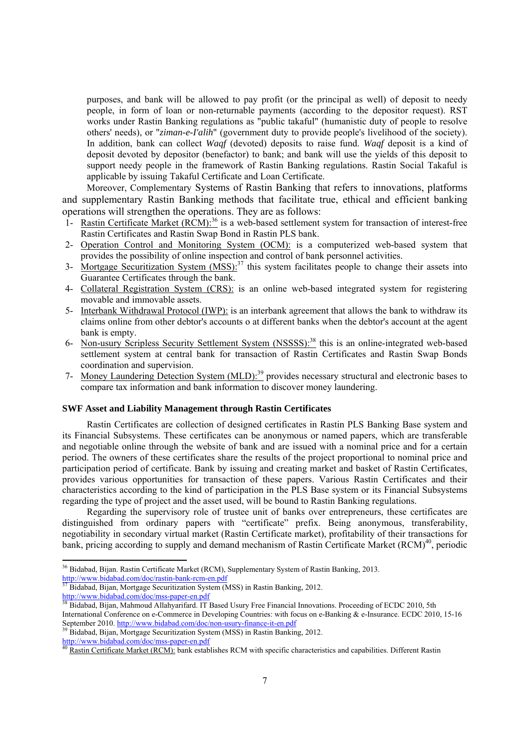purposes, and bank will be allowed to pay profit (or the principal as well) of deposit to needy people, in form of loan or non-returnable payments (according to the depositor request). RST works under Rastin Banking regulations as "public takaful" (humanistic duty of people to resolve others' needs), or "*ziman-e-I'alih*" (government duty to provide people's livelihood of the society). In addition, bank can collect *Waqf* (devoted) deposits to raise fund. *Waqf* deposit is a kind of deposit devoted by depositor (benefactor) to bank; and bank will use the yields of this deposit to support needy people in the framework of Rastin Banking regulations. Rastin Social Takaful is applicable by issuing Takaful Certificate and Loan Certificate.

Moreover, Complementary Systems of Rastin Banking that refers to innovations, platforms and supplementary Rastin Banking methods that facilitate true, ethical and efficient banking operations will strengthen the operations. They are as follows:

- 1- Rastin Certificate Market (RCM):<sup>36</sup> is a web-based settlement system for transaction of interest-free Rastin Certificates and Rastin Swap Bond in Rastin PLS bank.
- 2- Operation Control and Monitoring System (OCM): is a computerized web-based system that provides the possibility of online inspection and control of bank personnel activities.
- 3- Mortgage Securitization System  $(MSS)$ :<sup>37</sup> this system facilitates people to change their assets into Guarantee Certificates through the bank.
- 4- Collateral Registration System (CRS): is an online web-based integrated system for registering movable and immovable assets.
- 5- Interbank Withdrawal Protocol (IWP): is an interbank agreement that allows the bank to withdraw its claims online from other debtor's accounts o at different banks when the debtor's account at the agent bank is empty.
- 6- Non-usury Scripless Security Settlement System (NSSSS):38 this is an online-integrated web-based settlement system at central bank for transaction of Rastin Certificates and Rastin Swap Bonds coordination and supervision.
- 7- Money Laundering Detection System (MLD):<sup>39</sup> provides necessary structural and electronic bases to compare tax information and bank information to discover money laundering.

# **SWF Asset and Liability Management through Rastin Certificates**

Rastin Certificates are collection of designed certificates in Rastin PLS Banking Base system and its Financial Subsystems. These certificates can be anonymous or named papers, which are transferable and negotiable online through the website of bank and are issued with a nominal price and for a certain period. The owners of these certificates share the results of the project proportional to nominal price and participation period of certificate. Bank by issuing and creating market and basket of Rastin Certificates, provides various opportunities for transaction of these papers. Various Rastin Certificates and their characteristics according to the kind of participation in the PLS Base system or its Financial Subsystems regarding the type of project and the asset used, will be bound to Rastin Banking regulations.

Regarding the supervisory role of trustee unit of banks over entrepreneurs, these certificates are distinguished from ordinary papers with "certificate" prefix. Being anonymous, transferability, negotiability in secondary virtual market (Rastin Certificate market), profitability of their transactions for bank, pricing according to supply and demand mechanism of Rastin Certificate Market (RCM)<sup>40</sup>, periodic

-

<sup>&</sup>lt;sup>36</sup> Bidabad, Bijan. Rastin Certificate Market (RCM), Supplementary System of Rastin Banking, 2013. http://www.bidabad.com/doc/rastin-bank-rcm-en.pdf

 $37$  Bidabad, Bijan, Mortgage Securitization System (MSS) in Rastin Banking, 2012.<br>http://www.bidabad.com/doc/mss-paper-en.pdf

Bidabad, Bijan, Mahmoud Allahyarifard. IT Based Usury Free Financial Innovations. Proceeding of ECDC 2010, 5th International Conference on e-Commerce in Developing Countries: with focus on e-Banking & e-Insurance. ECDC 2010, 15-16<br>September 2010. http://www.bidabad.com/doc/non-usury-finance-it-en.pdf

<sup>&</sup>lt;sup>39</sup> Bidabad, Bijan, Mortgage Securitization System (MSS) in Rastin Banking, 2012.<br>http://www.bidabad.com/doc/mss-paper-en.pdf

Rastin Certificate Market (RCM): bank establishes RCM with specific characteristics and capabilities. Different Rastin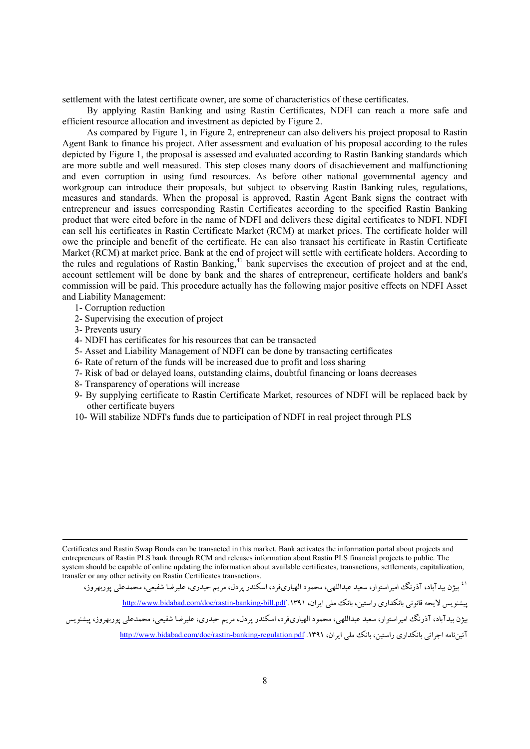settlement with the latest certificate owner, are some of characteristics of these certificates.

By applying Rastin Banking and using Rastin Certificates, NDFI can reach a more safe and efficient resource allocation and investment as depicted by Figure 2.

As compared by Figure 1, in Figure 2, entrepreneur can also delivers his project proposal to Rastin Agent Bank to finance his project. After assessment and evaluation of his proposal according to the rules depicted by Figure 1, the proposal is assessed and evaluated according to Rastin Banking standards which are more subtle and well measured. This step closes many doors of disachievement and malfunctioning and even corruption in using fund resources. As before other national governmental agency and workgroup can introduce their proposals, but subject to observing Rastin Banking rules, regulations, measures and standards. When the proposal is approved, Rastin Agent Bank signs the contract with entrepreneur and issues corresponding Rastin Certificates according to the specified Rastin Banking product that were cited before in the name of NDFI and delivers these digital certificates to NDFI. NDFI can sell his certificates in Rastin Certificate Market (RCM) at market prices. The certificate holder will owe the principle and benefit of the certificate. He can also transact his certificate in Rastin Certificate Market (RCM) at market price. Bank at the end of project will settle with certificate holders. According to the rules and regulations of Rastin Banking,<sup>41</sup> bank supervises the execution of project and at the end, account settlement will be done by bank and the shares of entrepreneur, certificate holders and bank's commission will be paid. This procedure actually has the following major positive effects on NDFI Asset and Liability Management:

- 1- Corruption reduction
- 2- Supervising the execution of project
- 3- Prevents usury
- 4- NDFI has certificates for his resources that can be transacted
- 5- Asset and Liability Management of NDFI can be done by transacting certificates
- 6- Rate of return of the funds will be increased due to profit and loss sharing
- 7- Risk of bad or delayed loans, outstanding claims, doubtful financing or loans decreases
- 8- Transparency of operations will increase
- 9- By supplying certificate to Rastin Certificate Market, resources of NDFI will be replaced back by other certificate buyers
- 10- Will stabilize NDFI's funds due to participation of NDFI in real project through PLS

 Certificates and Rastin Swap Bonds can be transacted in this market. Bank activates the information portal about projects and entrepreneurs of Rastin PLS bank through RCM and releases information about Rastin PLS financial projects to public. The system should be capable of online updating the information about available certificates, transactions, settlements, capitalization, transfer or any other activity on Rastin Certificates transactions.

.<br><sup>١ ٤</sup> بيژن بيدآباد، آذرنگ اميراستوار، سعيد عبداللهي، محمود الهياريفرد، اسكندر پردل، مريم حيدري، عليرضا شفيعي، محمدعلي پوربهروز،

يیشنويس لايحه قانوني بانكداري راستين، بانك ملي ايران، ۱۳۹۱. http://www.bidabad.com/doc/rastin-banking-bill.pdf

بيژن بيدآباد، آذرنگ اميراستوار، سعيد عبداللهي، محمود الهياريفرد، اسكندر پردل، مريم حيدري، عليرضا شفيعي، محمدعلي پوربهروز، پيشنويس آئين نامه احرائي بانكداري راستين، بانك ملي ابران، ١٣٩١. http://www.bidabad.com/doc/rastin-banking-regulation.pdf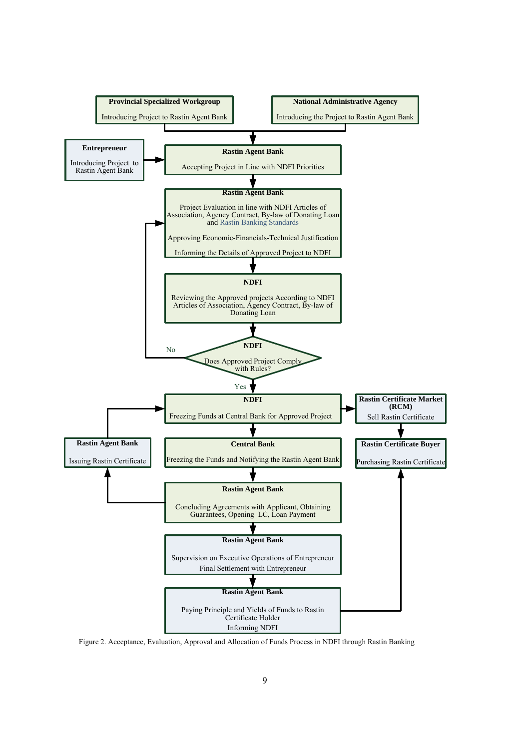

Figure 2. Acceptance, Evaluation, Approval and Allocation of Funds Process in NDFI through Rastin Banking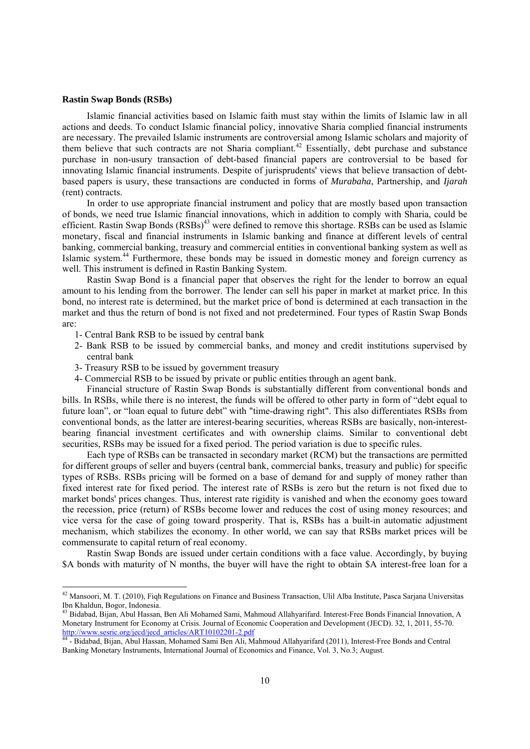#### **Rastin Swap Bonds (RSBs)**

 $\overline{a}$ 

Islamic financial activities based on Islamic faith must stay within the limits of Islamic law in all actions and deeds. To conduct Islamic financial policy, innovative Sharia complied financial instruments are necessary. The prevailed Islamic instruments are controversial among Islamic scholars and majority of them believe that such contracts are not Sharia compliant.<sup>42</sup> Essentially, debt purchase and substance purchase in non-usury transaction of debt-based financial papers are controversial to be based for innovating Islamic financial instruments. Despite of jurisprudents' views that believe transaction of debtbased papers is usury, these transactions are conducted in forms of *Murabaha*, Partnership, and *Ijarah* (rent) contracts.

In order to use appropriate financial instrument and policy that are mostly based upon transaction of bonds, we need true Islamic financial innovations, which in addition to comply with Sharia, could be efficient. Rastin Swap Bonds (RSBs)<sup>43</sup> were defined to remove this shortage. RSBs can be used as Islamic monetary, fiscal and financial instruments in Islamic banking and finance at different levels of central banking, commercial banking, treasury and commercial entities in conventional banking system as well as Islamic system.44 Furthermore, these bonds may be issued in domestic money and foreign currency as well. This instrument is defined in Rastin Banking System.

Rastin Swap Bond is a financial paper that observes the right for the lender to borrow an equal amount to his lending from the borrower. The lender can sell his paper in market at market price. In this bond, no interest rate is determined, but the market price of bond is determined at each transaction in the market and thus the return of bond is not fixed and not predetermined. Four types of Rastin Swap Bonds are:

- 1- Central Bank RSB to be issued by central bank
- 2- Bank RSB to be issued by commercial banks, and money and credit institutions supervised by central bank
- 3- Treasury RSB to be issued by government treasury
- 4- Commercial RSB to be issued by private or public entities through an agent bank.

Financial structure of Rastin Swap Bonds is substantially different from conventional bonds and bills. In RSBs, while there is no interest, the funds will be offered to other party in form of "debt equal to future loan", or "loan equal to future debt" with "time-drawing right". This also differentiates RSBs from conventional bonds, as the latter are interest-bearing securities, whereas RSBs are basically, non-interestbearing financial investment certificates and with ownership claims. Similar to conventional debt securities, RSBs may be issued for a fixed period. The period variation is due to specific rules.

Each type of RSBs can be transacted in secondary market (RCM) but the transactions are permitted for different groups of seller and buyers (central bank, commercial banks, treasury and public) for specific types of RSBs. RSBs pricing will be formed on a base of demand for and supply of money rather than fixed interest rate for fixed period. The interest rate of RSBs is zero but the return is not fixed due to market bonds' prices changes. Thus, interest rate rigidity is vanished and when the economy goes toward the recession, price (return) of RSBs become lower and reduces the cost of using money resources; and vice versa for the case of going toward prosperity. That is, RSBs has a built-in automatic adjustment mechanism, which stabilizes the economy. In other world, we can say that RSBs market prices will be commensurate to capital return of real economy.

Rastin Swap Bonds are issued under certain conditions with a face value. Accordingly, by buying \$A bonds with maturity of N months, the buyer will have the right to obtain \$A interest-free loan for a

 $^{42}$  Mansoori, M. T. (2010), Fiqh Regulations on Finance and Business Transaction, Ulil Alba Institute, Pasca Sarjana Universitas Ibn Khaldun, Bogor, Indonesia.

<sup>&</sup>lt;sup>43</sup> Bidabad, Bijan, Abul Hassan, Ben Ali Mohamed Sami, Mahmoud Allahyarifard. Interest-Free Bonds Financial Innovation, A Monetary Instrument for Economy at Crisis. Journal of Economic Cooperation and Development (JECD). 32, 1, 2011, 55-70. http://www.sesric.org/jecd/jecd\_articles/ART10102201-2.pdf

<sup>&</sup>lt;sup>44</sup> - Bidabad, Bijan, Abul Hassan, Mohamed Sami Ben Ali, Mahmoud Allahyarifard (2011), Interest-Free Bonds and Central Banking Monetary Instruments, International Journal of Economics and Finance, Vol. 3, No.3; August.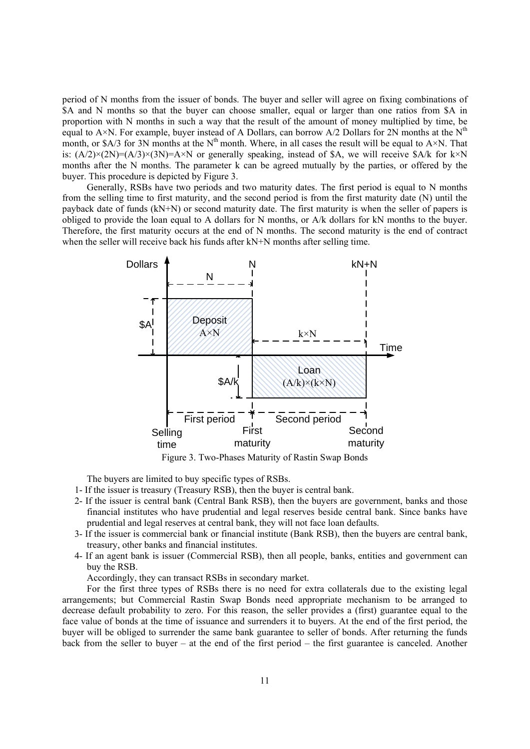period of N months from the issuer of bonds. The buyer and seller will agree on fixing combinations of \$A and N months so that the buyer can choose smaller, equal or larger than one ratios from \$A in proportion with N months in such a way that the result of the amount of money multiplied by time, be equal to A×N. For example, buyer instead of A Dollars, can borrow A/2 Dollars for 2N months at the N<sup>th</sup> month, or \$A/3 for 3N months at the  $N<sup>th</sup>$  month. Where, in all cases the result will be equal to A×N. That is:  $(A/2) \times (2N) = (A/3) \times (3N) = A \times N$  or generally speaking, instead of \$A, we will receive \$A/k for k×N months after the N months. The parameter k can be agreed mutually by the parties, or offered by the buyer. This procedure is depicted by Figure 3.

Generally, RSBs have two periods and two maturity dates. The first period is equal to N months from the selling time to first maturity, and the second period is from the first maturity date (N) until the payback date of funds (kN+N) or second maturity date. The first maturity is when the seller of papers is obliged to provide the loan equal to A dollars for N months, or A/k dollars for kN months to the buyer. Therefore, the first maturity occurs at the end of N months. The second maturity is the end of contract when the seller will receive back his funds after kN+N months after selling time.



Figure 3. Two-Phases Maturity of Rastin Swap Bonds

The buyers are limited to buy specific types of RSBs.

- 1- If the issuer is treasury (Treasury RSB), then the buyer is central bank.
- 2- If the issuer is central bank (Central Bank RSB), then the buyers are government, banks and those financial institutes who have prudential and legal reserves beside central bank. Since banks have prudential and legal reserves at central bank, they will not face loan defaults.
- 3- If the issuer is commercial bank or financial institute (Bank RSB), then the buyers are central bank, treasury, other banks and financial institutes.
- 4- If an agent bank is issuer (Commercial RSB), then all people, banks, entities and government can buy the RSB.

Accordingly, they can transact RSBs in secondary market.

For the first three types of RSBs there is no need for extra collaterals due to the existing legal arrangements; but Commercial Rastin Swap Bonds need appropriate mechanism to be arranged to decrease default probability to zero. For this reason, the seller provides a (first) guarantee equal to the face value of bonds at the time of issuance and surrenders it to buyers. At the end of the first period, the buyer will be obliged to surrender the same bank guarantee to seller of bonds. After returning the funds back from the seller to buyer – at the end of the first period – the first guarantee is canceled. Another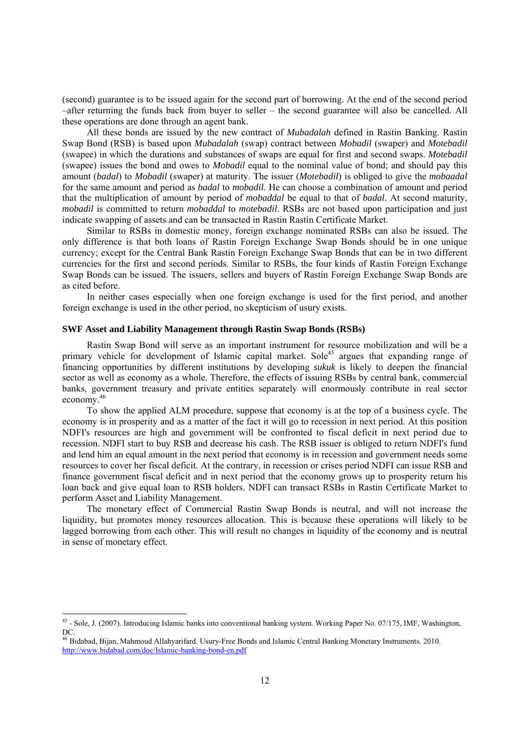(second) guarantee is to be issued again for the second part of borrowing. At the end of the second period –after returning the funds back from buyer to seller – the second guarantee will also be cancelled. All these operations are done through an agent bank.

All these bonds are issued by the new contract of *Mubadalah* defined in Rastin Banking. Rastin Swap Bond (RSB) is based upon *Mubadalah* (swap) contract between *Mobadil* (swaper) and *Motebadil* (swapee) in which the durations and substances of swaps are equal for first and second swaps. *Motebadil* (swapee) issues the bond and owes to *Mobadil* equal to the nominal value of bond; and should pay this amount (*badal*) to *Mobadil* (swaper) at maturity. The issuer (*Motebadil*) is obliged to give the *mobaadal* for the same amount and period as *badal* to *mobadil*. He can choose a combination of amount and period that the multiplication of amount by period of *mobaddal* be equal to that of *badal*. At second maturity, *mobadil* is committed to return *mobaddal* to *motebadil*. RSBs are not based upon participation and just indicate swapping of assets and can be transacted in Rastin Rastin Certificate Market.

Similar to RSBs in domestic money, foreign exchange nominated RSBs can also be issued. The only difference is that both loans of Rastin Foreign Exchange Swap Bonds should be in one unique currency; except for the Central Bank Rastin Foreign Exchange Swap Bonds that can be in two different currencies for the first and second periods. Similar to RSBs, the four kinds of Rastin Foreign Exchange Swap Bonds can be issued. The issuers, sellers and buyers of Rastin Foreign Exchange Swap Bonds are as cited before.

In neither cases especially when one foreign exchange is used for the first period, and another foreign exchange is used in the other period, no skepticism of usury exists.

## **SWF Asset and Liability Management through Rastin Swap Bonds (RSBs)**

Rastin Swap Bond will serve as an important instrument for resource mobilization and will be a primary vehicle for development of Islamic capital market. Sole<sup>45</sup> argues that expanding range of financing opportunities by different institutions by developing *sukuk* is likely to deepen the financial sector as well as economy as a whole. Therefore, the effects of issuing RSBs by central bank, commercial banks, government treasury and private entities separately will enormously contribute in real sector economy.46

To show the applied ALM procedure, suppose that economy is at the top of a business cycle. The economy is in prosperity and as a matter of the fact it will go to recession in next period. At this position NDFI's resources are high and government will be confronted to fiscal deficit in next period due to recession. NDFI start to buy RSB and decrease his cash. The RSB issuer is obliged to return NDFI's fund and lend him an equal amount in the next period that economy is in recession and government needs some resources to cover her fiscal deficit. At the contrary, in recession or crises period NDFI can issue RSB and finance government fiscal deficit and in next period that the economy grows up to prosperity return his loan back and give equal loan to RSB holders. NDFI can transact RSBs in Rastin Certificate Market to perform Asset and Liability Management.

The monetary effect of Commercial Rastin Swap Bonds is neutral, and will not increase the liquidity, but promotes money resources allocation. This is because these operations will likely to be lagged borrowing from each other. This will result no changes in liquidity of the economy and is neutral in sense of monetary effect.

-

 $45$  - Sole, J. (2007). Introducing Islamic banks into conventional banking system. Working Paper No. 07/175, IMF, Washington, DC.

<sup>46</sup> Bidabad, Bijan, Mahmoud Allahyarifard. Usury-Free Bonds and Islamic Central Banking Monetary Instruments. 2010. http://www.bidabad.com/doc/Islamic-banking-bond-en.pdf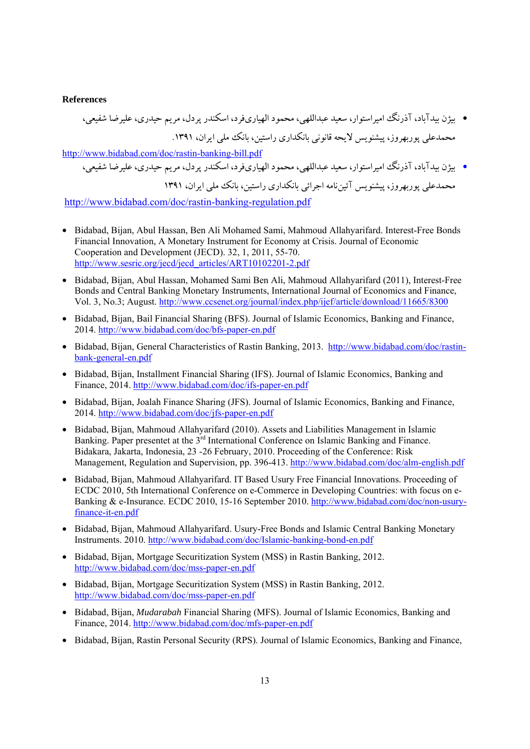## **References**

• بيژن بيدآباد، آذرنگ اميراستوار، سعيد عبداللهي، محمود الهياريفرد، اسكندر پردل، مريم حيدري، عليرضا شفيعي، محمدعلي پوربهروز، پيشنويس لايحه قانوني بانكداري راستين، بانك ملي ايران، .1391 http://www.bidabad.com/doc/rastin-banking-bill.pdf

• بيژن بيدآباد، آذرنگ اميراستوار، سعيد عبداللهي، محمود الهياريفرد، اسكندر پردل، مريم حيدري، عليرضا شفيعي، محمدعلي پوربهروز، پيشنويس آئيننامه اجرائي بانكداري راستين، بانك ملي ايران، 1391

http://www.bidabad.com/doc/rastin-banking-regulation.pdf

- Bidabad, Bijan, Abul Hassan, Ben Ali Mohamed Sami, Mahmoud Allahyarifard. Interest-Free Bonds Financial Innovation, A Monetary Instrument for Economy at Crisis. Journal of Economic Cooperation and Development (JECD). 32, 1, 2011, 55-70. http://www.sesric.org/jecd/jecd\_articles/ART10102201-2.pdf
- Bidabad, Bijan, Abul Hassan, Mohamed Sami Ben Ali, Mahmoud Allahyarifard (2011), Interest-Free Bonds and Central Banking Monetary Instruments, International Journal of Economics and Finance, Vol. 3, No.3; August. http://www.ccsenet.org/journal/index.php/ijef/article/download/11665/8300
- Bidabad, Bijan, Bail Financial Sharing (BFS). Journal of Islamic Economics, Banking and Finance, 2014. http://www.bidabad.com/doc/bfs-paper-en.pdf
- Bidabad, Bijan, General Characteristics of Rastin Banking, 2013. http://www.bidabad.com/doc/rastinbank-general-en.pdf
- Bidabad, Bijan, Installment Financial Sharing (IFS). Journal of Islamic Economics, Banking and Finance, 2014. http://www.bidabad.com/doc/ifs-paper-en.pdf
- Bidabad, Bijan, Joalah Finance Sharing (JFS). Journal of Islamic Economics, Banking and Finance, 2014. http://www.bidabad.com/doc/jfs-paper-en.pdf
- Bidabad, Bijan, Mahmoud Allahyarifard (2010). Assets and Liabilities Management in Islamic Banking. Paper presentet at the 3<sup>rd</sup> International Conference on Islamic Banking and Finance. Bidakara, Jakarta, Indonesia, 23 -26 February, 2010. Proceeding of the Conference: Risk Management, Regulation and Supervision, pp. 396-413. http://www.bidabad.com/doc/alm-english.pdf
- Bidabad, Bijan, Mahmoud Allahyarifard. IT Based Usury Free Financial Innovations. Proceeding of ECDC 2010, 5th International Conference on e-Commerce in Developing Countries: with focus on e-Banking & e-Insurance. ECDC 2010, 15-16 September 2010. http://www.bidabad.com/doc/non-usuryfinance-it-en.pdf
- Bidabad, Bijan, Mahmoud Allahyarifard. Usury-Free Bonds and Islamic Central Banking Monetary Instruments. 2010. http://www.bidabad.com/doc/Islamic-banking-bond-en.pdf
- Bidabad, Bijan, Mortgage Securitization System (MSS) in Rastin Banking, 2012. http://www.bidabad.com/doc/mss-paper-en.pdf
- Bidabad, Bijan, Mortgage Securitization System (MSS) in Rastin Banking, 2012. http://www.bidabad.com/doc/mss-paper-en.pdf
- Bidabad, Bijan, *Mudarabah* Financial Sharing (MFS). Journal of Islamic Economics, Banking and Finance, 2014. http://www.bidabad.com/doc/mfs-paper-en.pdf
- Bidabad, Bijan, Rastin Personal Security (RPS). Journal of Islamic Economics, Banking and Finance,